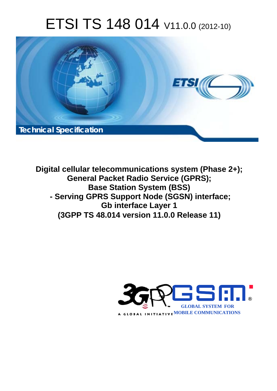# ETSI TS 148 014 V11.0.0 (2012-10)



**Digital cellular telecommunications system (Phase 2+); General Packet Radio Service (GPRS); Base Station System (BSS) - Serving GPRS Support Node (SGSN) interface; Gb interface Layer 1 (3GPP TS 48.014 version 11.0.0 Release 11)** 

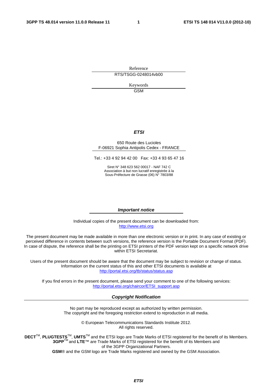Reference RTS/TSGG-0248014vb00

> Keywords GSM

#### *ETSI*

#### 650 Route des Lucioles F-06921 Sophia Antipolis Cedex - FRANCE

Tel.: +33 4 92 94 42 00 Fax: +33 4 93 65 47 16

Siret N° 348 623 562 00017 - NAF 742 C Association à but non lucratif enregistrée à la Sous-Préfecture de Grasse (06) N° 7803/88

#### *Important notice*

Individual copies of the present document can be downloaded from: [http://www.etsi.org](http://www.etsi.org/)

The present document may be made available in more than one electronic version or in print. In any case of existing or perceived difference in contents between such versions, the reference version is the Portable Document Format (PDF). In case of dispute, the reference shall be the printing on ETSI printers of the PDF version kept on a specific network drive within ETSI Secretariat.

Users of the present document should be aware that the document may be subject to revision or change of status. Information on the current status of this and other ETSI documents is available at <http://portal.etsi.org/tb/status/status.asp>

If you find errors in the present document, please send your comment to one of the following services: [http://portal.etsi.org/chaircor/ETSI\\_support.asp](http://portal.etsi.org/chaircor/ETSI_support.asp)

#### *Copyright Notification*

No part may be reproduced except as authorized by written permission. The copyright and the foregoing restriction extend to reproduction in all media.

> © European Telecommunications Standards Institute 2012. All rights reserved.

**DECT**TM, **PLUGTESTS**TM, **UMTS**TM and the ETSI logo are Trade Marks of ETSI registered for the benefit of its Members. **3GPP**TM and **LTE**™ are Trade Marks of ETSI registered for the benefit of its Members and of the 3GPP Organizational Partners.

**GSM**® and the GSM logo are Trade Marks registered and owned by the GSM Association.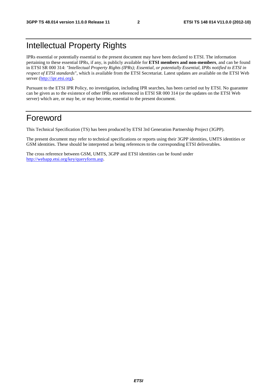# Intellectual Property Rights

IPRs essential or potentially essential to the present document may have been declared to ETSI. The information pertaining to these essential IPRs, if any, is publicly available for **ETSI members and non-members**, and can be found in ETSI SR 000 314: *"Intellectual Property Rights (IPRs); Essential, or potentially Essential, IPRs notified to ETSI in respect of ETSI standards"*, which is available from the ETSI Secretariat. Latest updates are available on the ETSI Web server [\(http://ipr.etsi.org](http://webapp.etsi.org/IPR/home.asp)).

Pursuant to the ETSI IPR Policy, no investigation, including IPR searches, has been carried out by ETSI. No guarantee can be given as to the existence of other IPRs not referenced in ETSI SR 000 314 (or the updates on the ETSI Web server) which are, or may be, or may become, essential to the present document.

# Foreword

This Technical Specification (TS) has been produced by ETSI 3rd Generation Partnership Project (3GPP).

The present document may refer to technical specifications or reports using their 3GPP identities, UMTS identities or GSM identities. These should be interpreted as being references to the corresponding ETSI deliverables.

The cross reference between GSM, UMTS, 3GPP and ETSI identities can be found under [http://webapp.etsi.org/key/queryform.asp.](http://webapp.etsi.org/key/queryform.asp)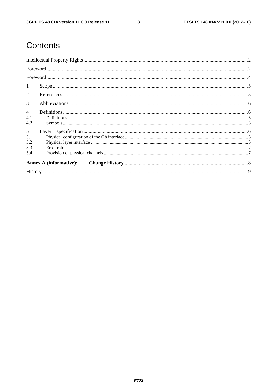$\mathbf{3}$ 

# Contents

| 1                             |  |  |  |  |  |
|-------------------------------|--|--|--|--|--|
| 2                             |  |  |  |  |  |
| 3                             |  |  |  |  |  |
| $\overline{4}$                |  |  |  |  |  |
| 4.1<br>4.2                    |  |  |  |  |  |
| 5                             |  |  |  |  |  |
| 5.1                           |  |  |  |  |  |
| 5.2                           |  |  |  |  |  |
| 5.3                           |  |  |  |  |  |
| 5.4                           |  |  |  |  |  |
| <b>Annex A (informative):</b> |  |  |  |  |  |
|                               |  |  |  |  |  |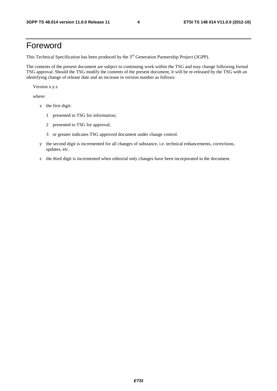# Foreword

This Technical Specification has been produced by the 3<sup>rd</sup> Generation Partnership Project (3GPP).

The contents of the present document are subject to continuing work within the TSG and may change following formal TSG approval. Should the TSG modify the contents of the present document, it will be re-released by the TSG with an identifying change of release date and an increase in version number as follows:

Version x.y.z

where:

- x the first digit:
	- 1 presented to TSG for information;
	- 2 presented to TSG for approval;
	- 3 or greater indicates TSG approved document under change control.
- y the second digit is incremented for all changes of substance, i.e. technical enhancements, corrections, updates, etc.
- z the third digit is incremented when editorial only changes have been incorporated in the document.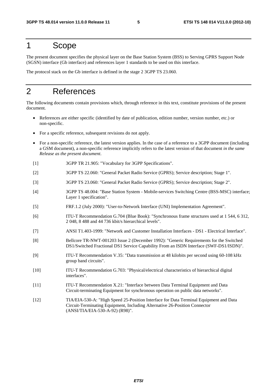# 1 Scope

The present document specifies the physical layer on the Base Station System (BSS) to Serving GPRS Support Node (SGSN) interface (Gb interface) and references layer 1 standards to be used on this interface.

The protocol stack on the Gb interface is defined in the stage 2 3GPP TS 23.060.

# 2 References

The following documents contain provisions which, through reference in this text, constitute provisions of the present document.

- References are either specific (identified by date of publication, edition number, version number, etc.) or non-specific.
- For a specific reference, subsequent revisions do not apply.
- For a non-specific reference, the latest version applies. In the case of a reference to a 3GPP document (including a GSM document), a non-specific reference implicitly refers to the latest version of that document *in the same Release as the present document*.
- [1] 3GPP TR 21.905: "Vocabulary for 3GPP Specifications".
- [2] 3GPP TS 22.060: "General Packet Radio Service (GPRS); Service description; Stage 1".
- [3] 3GPP TS 23.060: "General Packet Radio Service (GPRS); Service description; Stage 2".
- [4] 3GPP TS 48.004: "Base Station System Mobile-services Switching Centre (BSS-MSC) interface; Layer 1 specification".
- [5] FRF.1.2 (July 2000): "User-to-Network Interface (UNI) Implementation Agreement".
- [6] ITU-T Recommendation G.704 (Blue Book): "Synchronous frame structures used at 1 544, 6 312, 2 048, 8 488 and 44 736 kbit/s hierarchical levels".
- [7] ANSI T1.403-1999: "Network and Customer Installation Interfaces DS1 Electrical Interface".
- [8] Bellcore TR-NWT-001203 Issue 2 (December 1992): "Generic Requirements for the Switched DS1/Switched Fractional DS1 Service Capability From an ISDN Interface (SWF-DS1/ISDN)".
- [9] ITU-T Recommendation V.35: "Data transmission at 48 kilobits per second using 60-108 kHz group band circuits".
- [10] ITU-T Recommendation G.703: "Physical/electrical characteristics of hierarchical digital interfaces".
- [11] ITU-T Recommendation X.21: "Interface between Data Terminal Equipment and Data Circuit-terminating Equipment for synchronous operation on public data networks".
- [12] TIA/EIA-530-A: "High Speed 25-Position Interface for Data Terminal Equipment and Data Circuit-Terminating Equipment, Including Alternative 26-Position Connector (ANSI/TIA/EIA-530-A-92) (R98)".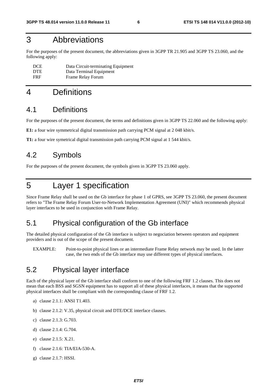# 3 Abbreviations

For the purposes of the present document, the abbreviations given in 3GPP TR 21.905 and 3GPP TS 23.060, and the following apply:

| <b>DCE</b> | Data Circuit-terminating Equipment |
|------------|------------------------------------|
| <b>DTE</b> | Data Terminal Equipment            |
| <b>FRF</b> | Frame Relay Forum                  |

# 4 Definitions

### 4.1 Definitions

For the purposes of the present document, the terms and definitions given in 3GPP TS 22.060 and the following apply:

**E1:** a four wire symmetrical digital transmission path carrying PCM signal at 2 048 kbit/s.

**T1:** a four wire symetrical digital transmission path carrying PCM signal at 1 544 kbit/s.

### 4.2 Symbols

For the purposes of the present document, the symbols given in 3GPP TS 23.060 apply.

# 5 Layer 1 specification

Since Frame Relay shall be used on the Gb interface for phase 1 of GPRS, see 3GPP TS 23.060, the present document refers to "The Frame Relay Forum User-to-Network Implementation Agreement (UNI)" which recommends physical layer interfaces to be used in conjunction with Frame Relay.

### 5.1 Physical configuration of the Gb interface

The detailed physical configuration of the Gb interface is subject to negociation between operators and equipment providers and is out of the scope of the present document.

EXAMPLE: Point-to-point physical lines or an intermediate Frame Relay network may be used. In the latter case, the two ends of the Gb interface may use different types of physical interfaces.

### 5.2 Physical layer interface

Each of the physical layer of the Gb interface shall conform to one of the following FRF 1.2 clauses. This does not mean that each BSS and SGSN equipment has to support all of these physical interfaces, it means that the supported physical interfaces shall be compliant with the corresponding clause of FRF 1.2.

- a) clause 2.1.1: ANSI T1.403.
- b) clause 2.1.2: V.35, physical circuit and DTE/DCE interface clauses.
- c) clause 2.1.3: G.703.
- d) clause 2.1.4: G.704.
- e) clause 2.1.5: X.21.
- f) clause 2.1.6: TIA/EIA-530-A.
- g) clause 2.1.7: HSSI.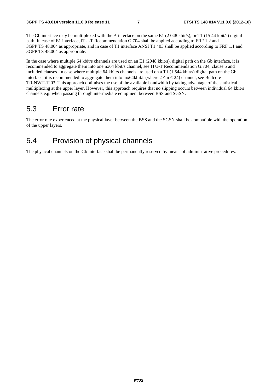The Gb interface may be multiplexed with the A interface on the same E1 (2048 kbit/s), or T1 (1544 kbit/s) digital path. In case of E1 interface, ITU-T Recommendation G.704 shall be applied according to FRF 1.2 and 3GPP TS 48.004 as appropriate, and in case of T1 interface ANSI T1.403 shall be applied according to FRF 1.1 and 3GPP TS 48.004 as appropriate.

In the case where multiple 64 kbit/s channels are used on an E1 (2048 kbit/s), digital path on the Gb interface, it is recommended to aggregate them into one nx64 kbit/s channel, see ITU-T Recommendation G.704, clause 5 and included clauses. In case where multiple 64 kbit/s channels are used on a T1 (1 544 kbit/s) digital path on the Gb interface, it is recommended to aggregate them into  $nx64kbit/s$  (where  $2 \le n \le 24$ ) channel, see Bellcore TR-NWT-1203. This approach optimises the use of the available bandwidth by taking advantage of the statistical multiplexing at the upper layer. However, this approach requires that no slipping occurs between individual 64 kbit/s channels e.g. when passing through intermediate equipment between BSS and SGSN.

### 5.3 Error rate

The error rate experienced at the physical layer between the BSS and the SGSN shall be compatible with the operation of the upper layers.

### 5.4 Provision of physical channels

The physical channels on the Gb interface shall be permanently reserved by means of administrative procedures.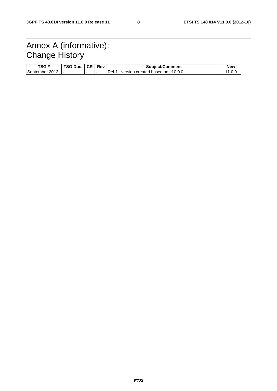# Annex A (informative): Change History

| TSG #          | TSG Doc. | <b>CR</b> | Rev | Subject/Comment                          | New |
|----------------|----------|-----------|-----|------------------------------------------|-----|
| September 2012 |          |           |     | Rel-<br>version created based on v10.0.0 |     |